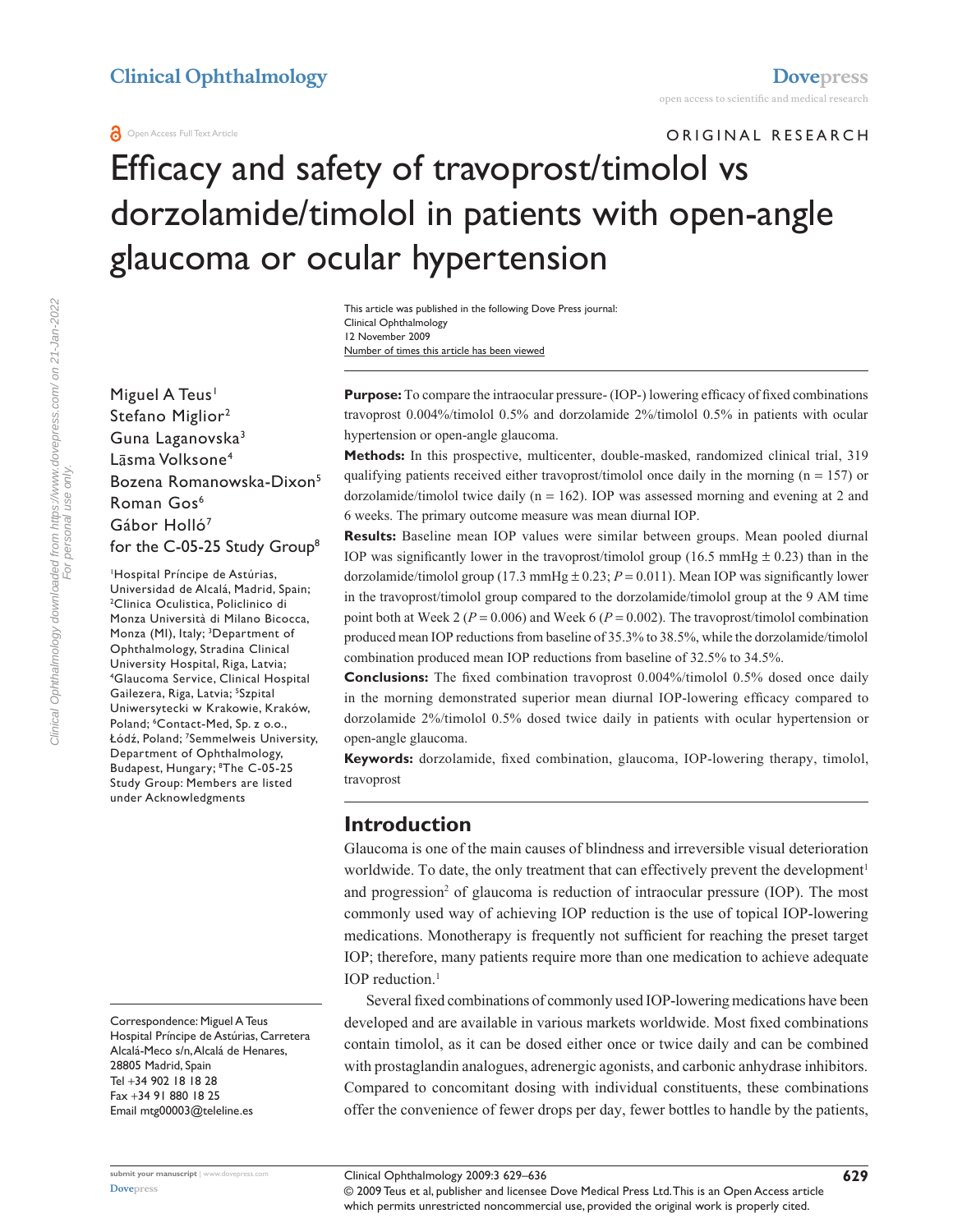ORIGINAL RESEARCH

# Efficacy and safety of travoprost/timolol vs dorzolamide/timolol in patients with open-angle glaucoma or ocular hypertension

Number of times this article has been viewed This article was published in the following Dove Press journal: Clinical Ophthalmology 12 November 2009

Miguel A Teus<sup>1</sup> Stefano Miglior<sup>2</sup> Guna Laganovska3 Lāsma Volksone<sup>4</sup> Bozena Romanowska-Dixon<sup>5</sup> Roman Gos<sup>6</sup> Gábor Holló<sup>7</sup> for the C-05-25 Study Group<sup>8</sup>

1 Hospital Príncipe de Astúrias, Universidad de Alcalá, Madrid, Spain; 2 <sup>2</sup>Clinica Oculistica, Policlinico di Monza Università di Milano Bicocca, Monza (MI), Italy; <sup>3</sup>Department of Ophthalmology, Stradina Clinical University Hospital, Riga, Latvia; 4 Glaucoma Service, Clinical Hospital Gailezera, Riga, Latvia; <sup>5</sup>Szpital Uniwersytecki w Krakowie, Kraków, Poland; <sup>6</sup>Contact-Med, Sp. z o.o., Łódź, Poland; <sup>7</sup> Semmelweis University, Department of Ophthalmology, Budapest, Hungary; 8 The C-05-25 Study Group: Members are listed under Acknowledgments

Correspondence: Miguel A Teus Hospital Príncipe de Astúrias, Carretera Alcalá-Meco s/n, Alcalá de Henares, 28805 Madrid, Spain Tel +34 902 18 18 28 Fax +34 91 880 18 25 Email mtg00003@teleline.es

**Purpose:** To compare the intraocular pressure- (IOP-) lowering efficacy of fixed combinations travoprost 0.004%/timolol 0.5% and dorzolamide 2%/timolol 0.5% in patients with ocular hypertension or open-angle glaucoma.

**Methods:** In this prospective, multicenter, double-masked, randomized clinical trial, 319 qualifying patients received either travoprost/timolol once daily in the morning ( $n = 157$ ) or dorzolamide/timolol twice daily (n = 162). IOP was assessed morning and evening at 2 and 6 weeks. The primary outcome measure was mean diurnal IOP.

**Results:** Baseline mean IOP values were similar between groups. Mean pooled diurnal IOP was significantly lower in the travoprost/timolol group (16.5 mmHg  $\pm$  0.23) than in the dorzolamide/timolol group (17.3 mmHg  $\pm$  0.23;  $P = 0.011$ ). Mean IOP was significantly lower in the travoprost/timolol group compared to the dorzolamide/timolol group at the 9 AM time point both at Week 2 (*P* = 0.006) and Week 6 (*P* = 0.002). The travoprost/timolol combination produced mean IOP reductions from baseline of 35.3% to 38.5%, while the dorzolamide/timolol combination produced mean IOP reductions from baseline of 32.5% to 34.5%.

**Conclusions:** The fixed combination travoprost 0.004%/timolol 0.5% dosed once daily in the morning demonstrated superior mean diurnal IOP-lowering efficacy compared to dorzolamide 2%/timolol 0.5% dosed twice daily in patients with ocular hypertension or open-angle glaucoma.

**Keywords:** dorzolamide, fixed combination, glaucoma, IOP-lowering therapy, timolol, travoprost

#### **Introduction**

Glaucoma is one of the main causes of blindness and irreversible visual deterioration worldwide. To date, the only treatment that can effectively prevent the development<sup>1</sup> and progression<sup>2</sup> of glaucoma is reduction of intraocular pressure (IOP). The most commonly used way of achieving IOP reduction is the use of topical IOP-lowering medications. Monotherapy is frequently not sufficient for reaching the preset target IOP; therefore, many patients require more than one medication to achieve adequate IOP reduction.<sup>1</sup>

Several fixed combinations of commonly used IOP-lowering medications have been developed and are available in various markets worldwide. Most fixed combinations contain timolol, as it can be dosed either once or twice daily and can be combined with prostaglandin analogues, adrenergic agonists, and carbonic anhydrase inhibitors. Compared to concomitant dosing with individual constituents, these combinations offer the convenience of fewer drops per day, fewer bottles to handle by the patients,

**[Dovepress](www.dovepress.com)**

Clinical Ophthalmology 2009:3 629–636 **629**

© 2009 Teus et al, publisher and licensee Dove Medical Press Ltd. This is an Open Access article which permits unrestricted noncommercial use, provided the original work is properly cited.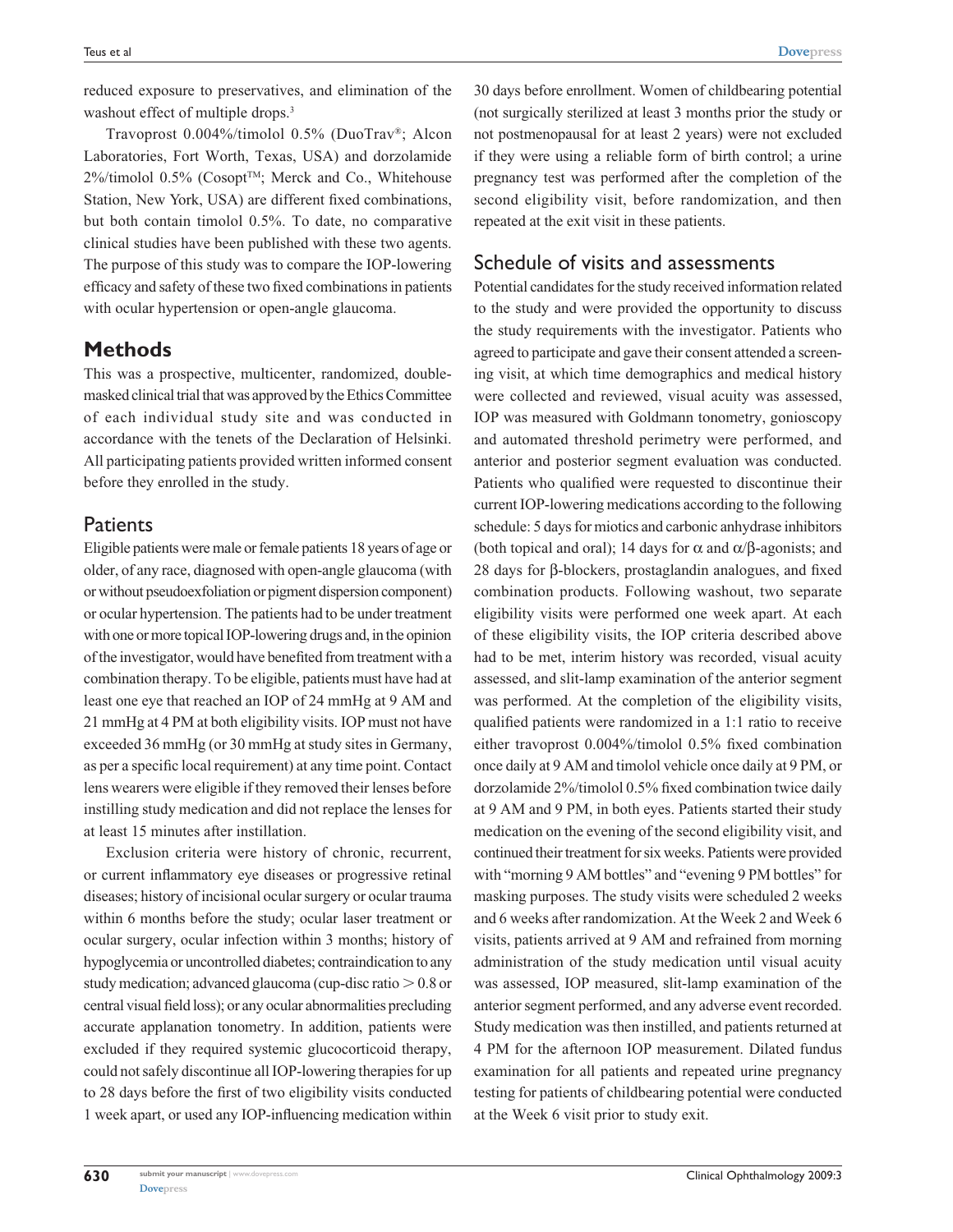reduced exposure to preservatives, and elimination of the washout effect of multiple drops.<sup>3</sup>

Travoprost 0.004%/timolol 0.5% (DuoTrav®; Alcon Laboratories, Fort Worth, Texas, USA) and dorzolamide 2%/timolol 0.5% (Cosopt<sup>™</sup>; Merck and Co., Whitehouse Station, New York, USA) are different fixed combinations, but both contain timolol 0.5%. To date, no comparative clinical studies have been published with these two agents. The purpose of this study was to compare the IOP-lowering efficacy and safety of these two fixed combinations in patients with ocular hypertension or open-angle glaucoma.

## **Methods**

This was a prospective, multicenter, randomized, doublemasked clinical trial that was approved by the Ethics Committee of each individual study site and was conducted in accordance with the tenets of the Declaration of Helsinki. All participating patients provided written informed consent before they enrolled in the study.

## **Patients**

Eligible patients were male or female patients 18 years of age or older, of any race, diagnosed with open-angle glaucoma (with or without pseudoexfoliation or pigment dispersion component) or ocular hypertension. The patients had to be under treatment with one or more topical IOP-lowering drugs and, in the opinion of the investigator, would have benefited from treatment with a combination therapy. To be eligible, patients must have had at least one eye that reached an IOP of 24 mmHg at 9 AM and 21 mmHg at 4 PM at both eligibility visits. IOP must not have exceeded 36 mmHg (or 30 mmHg at study sites in Germany, as per a specific local requirement) at any time point. Contact lens wearers were eligible if they removed their lenses before instilling study medication and did not replace the lenses for at least 15 minutes after instillation.

Exclusion criteria were history of chronic, recurrent, or current inflammatory eye diseases or progressive retinal diseases; history of incisional ocular surgery or ocular trauma within 6 months before the study; ocular laser treatment or ocular surgery, ocular infection within 3 months; history of hypoglycemia or uncontrolled diabetes; contraindication to any study medication; advanced glaucoma (cup-disc ratio  $> 0.8$  or central visual field loss); or any ocular abnormalities precluding accurate applanation tonometry. In addition, patients were excluded if they required systemic glucocorticoid therapy, could not safely discontinue all IOP-lowering therapies for up to 28 days before the first of two eligibility visits conducted 1 week apart, or used any IOP-influencing medication within

30 days before enrollment. Women of childbearing potential (not surgically sterilized at least 3 months prior the study or not postmenopausal for at least 2 years) were not excluded if they were using a reliable form of birth control; a urine pregnancy test was performed after the completion of the second eligibility visit, before randomization, and then repeated at the exit visit in these patients.

# Schedule of visits and assessments

Potential candidates for the study received information related to the study and were provided the opportunity to discuss the study requirements with the investigator. Patients who agreed to participate and gave their consent attended a screening visit, at which time demographics and medical history were collected and reviewed, visual acuity was assessed, IOP was measured with Goldmann tonometry, gonioscopy and automated threshold perimetry were performed, and anterior and posterior segment evaluation was conducted. Patients who qualified were requested to discontinue their current IOP-lowering medications according to the following schedule: 5 days for miotics and carbonic anhydrase inhibitors (both topical and oral); 14 days for  $\alpha$  and  $\alpha/\beta$ -agonists; and 28 days for β-blockers, prostaglandin analogues, and fixed combination products. Following washout, two separate eligibility visits were performed one week apart. At each of these eligibility visits, the IOP criteria described above had to be met, interim history was recorded, visual acuity assessed, and slit-lamp examination of the anterior segment was performed. At the completion of the eligibility visits, qualified patients were randomized in a 1:1 ratio to receive either travoprost 0.004%/timolol 0.5% fixed combination once daily at 9 AM and timolol vehicle once daily at 9 PM, or dorzolamide 2%/timolol 0.5% fixed combination twice daily at 9 AM and 9 PM, in both eyes. Patients started their study medication on the evening of the second eligibility visit, and continued their treatment for six weeks. Patients were provided with "morning 9 AM bottles" and "evening 9 PM bottles" for masking purposes. The study visits were scheduled 2 weeks and 6 weeks after randomization. At the Week 2 and Week 6 visits, patients arrived at 9 AM and refrained from morning administration of the study medication until visual acuity was assessed, IOP measured, slit-lamp examination of the anterior segment performed, and any adverse event recorded. Study medication was then instilled, and patients returned at 4 PM for the afternoon IOP measurement. Dilated fundus examination for all patients and repeated urine pregnancy testing for patients of childbearing potential were conducted at the Week 6 visit prior to study exit.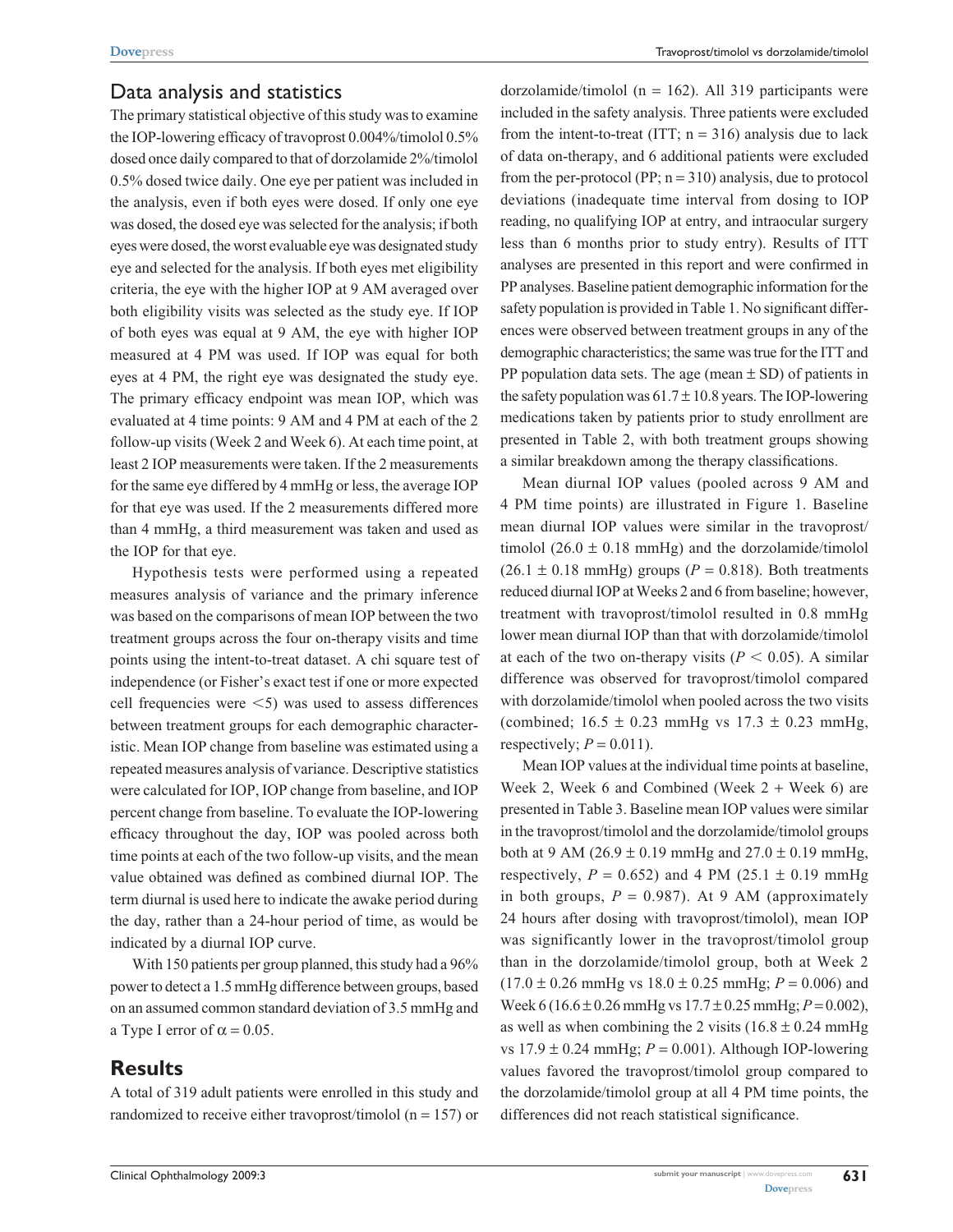#### Data analysis and statistics

The primary statistical objective of this study was to examine the IOP-lowering efficacy of travoprost 0.004%/timolol 0.5% dosed once daily compared to that of dorzolamide 2%/timolol 0.5% dosed twice daily. One eye per patient was included in the analysis, even if both eyes were dosed. If only one eye was dosed, the dosed eye was selected for the analysis; if both eyes were dosed, the worst evaluable eye was designated study eye and selected for the analysis. If both eyes met eligibility criteria, the eye with the higher IOP at 9 AM averaged over both eligibility visits was selected as the study eye. If IOP of both eyes was equal at 9 AM, the eye with higher IOP measured at 4 PM was used. If IOP was equal for both eyes at 4 PM, the right eye was designated the study eye. The primary efficacy endpoint was mean IOP, which was evaluated at 4 time points: 9 AM and 4 PM at each of the 2 follow-up visits (Week 2 and Week 6). At each time point, at least 2 IOP measurements were taken. If the 2 measurements for the same eye differed by 4 mmHg or less, the average IOP for that eye was used. If the 2 measurements differed more than 4 mmHg, a third measurement was taken and used as the IOP for that eye.

Hypothesis tests were performed using a repeated measures analysis of variance and the primary inference was based on the comparisons of mean IOP between the two treatment groups across the four on-therapy visits and time points using the intent-to-treat dataset. A chi square test of independence (or Fisher's exact test if one or more expected cell frequencies were  $\leq$  5) was used to assess differences between treatment groups for each demographic characteristic. Mean IOP change from baseline was estimated using a repeated measures analysis of variance. Descriptive statistics were calculated for IOP, IOP change from baseline, and IOP percent change from baseline. To evaluate the IOP-lowering efficacy throughout the day, IOP was pooled across both time points at each of the two follow-up visits, and the mean value obtained was defined as combined diurnal IOP. The term diurnal is used here to indicate the awake period during the day, rather than a 24-hour period of time, as would be indicated by a diurnal IOP curve.

With 150 patients per group planned, this study had a 96% power to detect a 1.5 mmHg difference between groups, based on an assumed common standard deviation of 3.5 mmHg and a Type I error of  $\alpha = 0.05$ .

#### **Results**

A total of 319 adult patients were enrolled in this study and randomized to receive either travoprost/timolol ( $n = 157$ ) or dorzolamide/timolol (n = 162). All 319 participants were included in the safety analysis. Three patients were excluded from the intent-to-treat (ITT;  $n = 316$ ) analysis due to lack of data on-therapy, and 6 additional patients were excluded from the per-protocol (PP;  $n = 310$ ) analysis, due to protocol deviations (inadequate time interval from dosing to IOP reading, no qualifying IOP at entry, and intraocular surgery less than 6 months prior to study entry). Results of ITT analyses are presented in this report and were confirmed in PP analyses. Baseline patient demographic information for the safety population is provided in Table 1. No significant differences were observed between treatment groups in any of the demographic characteristics; the same was true for the ITT and PP population data sets. The age (mean  $\pm$  SD) of patients in the safety population was  $61.7 \pm 10.8$  years. The IOP-lowering medications taken by patients prior to study enrollment are presented in Table 2, with both treatment groups showing a similar breakdown among the therapy classifications.

Mean diurnal IOP values (pooled across 9 AM and 4 PM time points) are illustrated in Figure 1. Baseline mean diurnal IOP values were similar in the travoprost/ timolol  $(26.0 \pm 0.18 \text{ mmHg})$  and the dorzolamide/timolol  $(26.1 \pm 0.18 \text{ mmHg})$  groups  $(P = 0.818)$ . Both treatments reduced diurnal IOP at Weeks 2 and 6 from baseline; however, treatment with travoprost/timolol resulted in 0.8 mmHg lower mean diurnal IOP than that with dorzolamide/timolol at each of the two on-therapy visits ( $P < 0.05$ ). A similar difference was observed for travoprost/timolol compared with dorzolamide/timolol when pooled across the two visits (combined;  $16.5 \pm 0.23$  mmHg vs  $17.3 \pm 0.23$  mmHg, respectively;  $P = 0.011$ ).

Mean IOP values at the individual time points at baseline, Week 2, Week 6 and Combined (Week  $2 +$  Week 6) are presented in Table 3. Baseline mean IOP values were similar in the travoprost/timolol and the dorzolamide/timolol groups both at 9 AM (26.9  $\pm$  0.19 mmHg and 27.0  $\pm$  0.19 mmHg, respectively,  $P = 0.652$ ) and 4 PM (25.1  $\pm$  0.19 mmHg in both groups,  $P = 0.987$ ). At 9 AM (approximately 24 hours after dosing with travoprost/timolol), mean IOP was significantly lower in the travoprost/timolol group than in the dorzolamide/timolol group, both at Week 2  $(17.0 \pm 0.26 \text{ mmHg vs } 18.0 \pm 0.25 \text{ mmHg}; P = 0.006)$  and Week 6 (16.6 ± 0.26 mmHg vs 17.7 ± 0.25 mmHg; *P* = 0.002), as well as when combining the 2 visits  $(16.8 \pm 0.24 \text{ mmHg})$ vs  $17.9 \pm 0.24$  mmHg;  $P = 0.001$ ). Although IOP-lowering values favored the travoprost/timolol group compared to the dorzolamide/timolol group at all 4 PM time points, the differences did not reach statistical significance.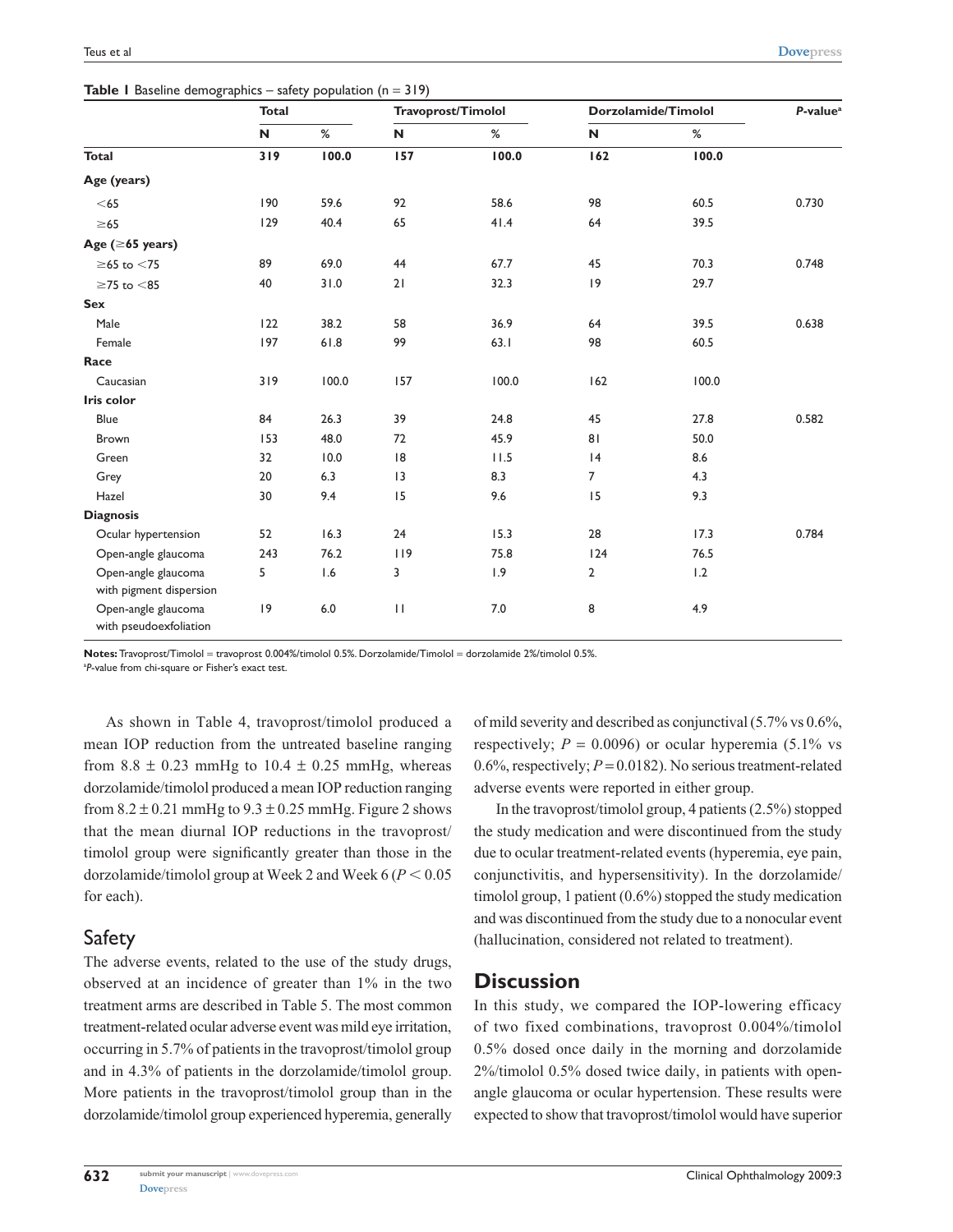**Table 1** Baseline demographics – safety population (n = 319)

|                                               | <b>Total</b> |       | Travoprost/Timolol |       | Dorzolamide/Timolol |       | P-value <sup>a</sup> |
|-----------------------------------------------|--------------|-------|--------------------|-------|---------------------|-------|----------------------|
|                                               | N            | $\%$  | N                  | %     | N                   | $\%$  |                      |
| <b>Total</b>                                  | 319          | 100.0 | 157                | 100.0 | 162                 | 100.0 |                      |
| Age (years)                                   |              |       |                    |       |                     |       |                      |
| $<$ 65                                        | 190          | 59.6  | 92                 | 58.6  | 98                  | 60.5  | 0.730                |
| $\geq 65$                                     | 129          | 40.4  | 65                 | 41.4  | 64                  | 39.5  |                      |
| Age $( \ge 65$ years)                         |              |       |                    |       |                     |       |                      |
| $\geq$ 65 to $<$ 75                           | 89           | 69.0  | 44                 | 67.7  | 45                  | 70.3  | 0.748                |
| $\geq$ 75 to $<$ 85                           | 40           | 31.0  | 21                 | 32.3  | 9                   | 29.7  |                      |
| <b>Sex</b>                                    |              |       |                    |       |                     |       |                      |
| Male                                          | 122          | 38.2  | 58                 | 36.9  | 64                  | 39.5  | 0.638                |
| Female                                        | 197          | 61.8  | 99                 | 63.1  | 98                  | 60.5  |                      |
| Race                                          |              |       |                    |       |                     |       |                      |
| Caucasian                                     | 319          | 100.0 | 157                | 100.0 | 162                 | 100.0 |                      |
| Iris color                                    |              |       |                    |       |                     |       |                      |
| Blue                                          | 84           | 26.3  | 39                 | 24.8  | 45                  | 27.8  | 0.582                |
| <b>Brown</b>                                  | 153          | 48.0  | 72                 | 45.9  | 81                  | 50.0  |                      |
| Green                                         | 32           | 10.0  | 8                  | 11.5  | 4                   | 8.6   |                      |
| Grey                                          | 20           | 6.3   | 3                  | 8.3   | $\overline{7}$      | 4.3   |                      |
| Hazel                                         | 30           | 9.4   | 15                 | 9.6   | 15                  | 9.3   |                      |
| <b>Diagnosis</b>                              |              |       |                    |       |                     |       |                      |
| Ocular hypertension                           | 52           | 16.3  | 24                 | 15.3  | 28                  | 17.3  | 0.784                |
| Open-angle glaucoma                           | 243          | 76.2  | 119                | 75.8  | 124                 | 76.5  |                      |
| Open-angle glaucoma                           | 5            | 1.6   | 3                  | 1.9   | $\overline{2}$      | 1.2   |                      |
| with pigment dispersion                       |              |       |                    |       |                     |       |                      |
| Open-angle glaucoma<br>with pseudoexfoliation | 9            | 6.0   | $\mathbf{H}$       | 7.0   | 8                   | 4.9   |                      |

**Notes:** Travoprost/Timolol = travoprost 0.004%/timolol 0.5%. Dorzolamide/Timolol = dorzolamide 2%/timolol 0.5%. a *P*-value from chi-square or Fisher's exact test.

As shown in Table 4, travoprost/timolol produced a mean IOP reduction from the untreated baseline ranging from  $8.8 \pm 0.23$  mmHg to  $10.4 \pm 0.25$  mmHg, whereas dorzolamide/timolol produced a mean IOP reduction ranging from  $8.2 \pm 0.21$  mmHg to  $9.3 \pm 0.25$  mmHg. Figure 2 shows that the mean diurnal IOP reductions in the travoprost/ timolol group were significantly greater than those in the dorzolamide/timolol group at Week 2 and Week  $6 (P < 0.05)$ for each).

#### Safety

The adverse events, related to the use of the study drugs, observed at an incidence of greater than 1% in the two treatment arms are described in Table 5. The most common treatment-related ocular adverse event was mild eye irritation, occurring in 5.7% of patients in the travoprost/timolol group and in 4.3% of patients in the dorzolamide/timolol group. More patients in the travoprost/timolol group than in the dorzolamide/timolol group experienced hyperemia, generally

of mild severity and described as conjunctival (5.7% vs 0.6%, respectively;  $P = 0.0096$ ) or ocular hyperemia (5.1% vs 0.6%, respectively;  $P = 0.0182$ ). No serious treatment-related adverse events were reported in either group.

In the travoprost/timolol group, 4 patients (2.5%) stopped the study medication and were discontinued from the study due to ocular treatment-related events (hyperemia, eye pain, conjunctivitis, and hypersensitivity). In the dorzolamide/ timolol group, 1 patient (0.6%) stopped the study medication and was discontinued from the study due to a nonocular event (hallucination, considered not related to treatment).

#### **Discussion**

In this study, we compared the IOP-lowering efficacy of two fixed combinations, travoprost 0.004%/timolol 0.5% dosed once daily in the morning and dorzolamide 2%/timolol 0.5% dosed twice daily, in patients with openangle glaucoma or ocular hypertension. These results were expected to show that travoprost/timolol would have superior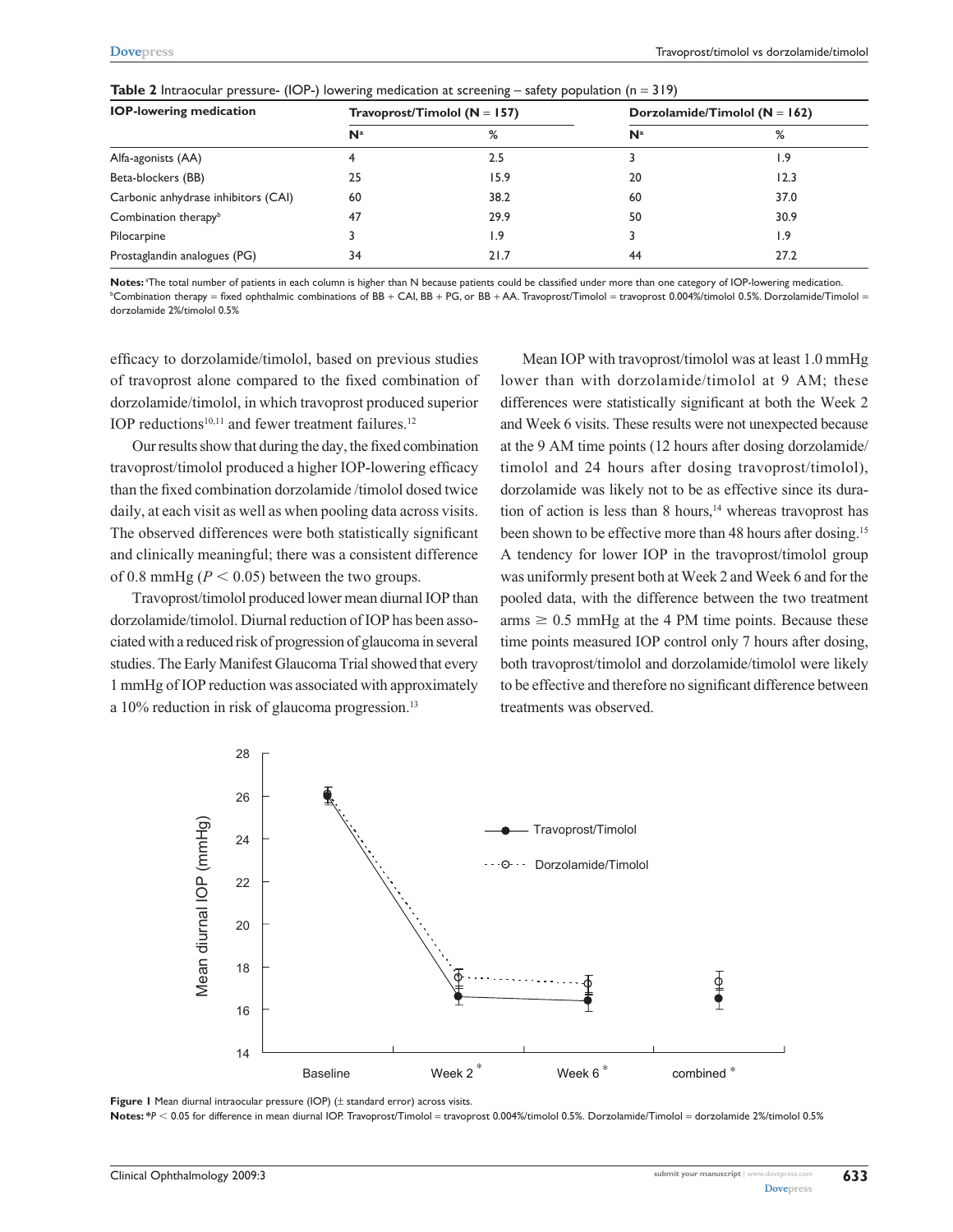| <b>IOP-lowering medication</b>      |                | Travoprost/Timolol ( $N = 157$ ) | Dorzolamide/Timolol ( $N = 162$ ) |      |  |
|-------------------------------------|----------------|----------------------------------|-----------------------------------|------|--|
|                                     | N <sup>a</sup> | %                                | N <sup>a</sup>                    | %    |  |
| Alfa-agonists (AA)                  |                | 2.5                              |                                   | 1.9  |  |
| Beta-blockers (BB)                  | 25             | 15.9                             | 20                                | 12.3 |  |
| Carbonic anhydrase inhibitors (CAI) | 60             | 38.2                             | 60                                | 37.0 |  |
| Combination therapy <sup>b</sup>    | 47             | 29.9                             | 50                                | 30.9 |  |
| Pilocarpine                         |                | 1.9                              |                                   | 1.9  |  |
| Prostaglandin analogues (PG)        | 34             | 21.7                             | 44                                | 27.2 |  |

**Table 2** Intraocular pressure- (IOP-) lowering medication at screening – safety population (n = 319)

Notes: <sup>a</sup>The total number of patients in each column is higher than N because patients could be classified under more than one category of IOP-lowering medication. b Combination therapy = fixed ophthalmic combinations of BB + CAI, BB + PG, or BB + AA. Travoprost/Timolol = travoprost 0.004%/timolol 0.5%. Dorzolamide/Timolol = dorzolamide 2%/timolol 0.5%

efficacy to dorzolamide/timolol, based on previous studies of travoprost alone compared to the fixed combination of dorzolamide/timolol, in which travoprost produced superior IOP reductions $10,11$  and fewer treatment failures.<sup>12</sup>

Our results show that during the day, the fixed combination travoprost/timolol produced a higher IOP-lowering efficacy than the fixed combination dorzolamide /timolol dosed twice daily, at each visit as well as when pooling data across visits. The observed differences were both statistically significant and clinically meaningful; there was a consistent difference of 0.8 mmHg ( $P < 0.05$ ) between the two groups.

Travoprost/timolol produced lower mean diurnal IOP than dorzolamide/timolol. Diurnal reduction of IOP has been associated with a reduced risk of progression of glaucoma in several studies. The Early Manifest Glaucoma Trial showed that every 1 mmHg of IOP reduction was associated with approximately a 10% reduction in risk of glaucoma progression.<sup>13</sup>

Mean IOP with travoprost/timolol was at least 1.0 mmHg lower than with dorzolamide/timolol at 9 AM; these differences were statistically significant at both the Week 2 and Week 6 visits. These results were not unexpected because at the 9 AM time points (12 hours after dosing dorzolamide/ timolol and 24 hours after dosing travoprost/timolol), dorzolamide was likely not to be as effective since its duration of action is less than 8 hours,<sup>14</sup> whereas travoprost has been shown to be effective more than 48 hours after dosing.<sup>15</sup> A tendency for lower IOP in the travoprost/timolol group was uniformly present both at Week 2 and Week 6 and for the pooled data, with the difference between the two treatment  $arms \geq 0.5$  mmHg at the 4 PM time points. Because these time points measured IOP control only 7 hours after dosing, both travoprost/timolol and dorzolamide/timolol were likely to be effective and therefore no significant difference between treatments was observed.



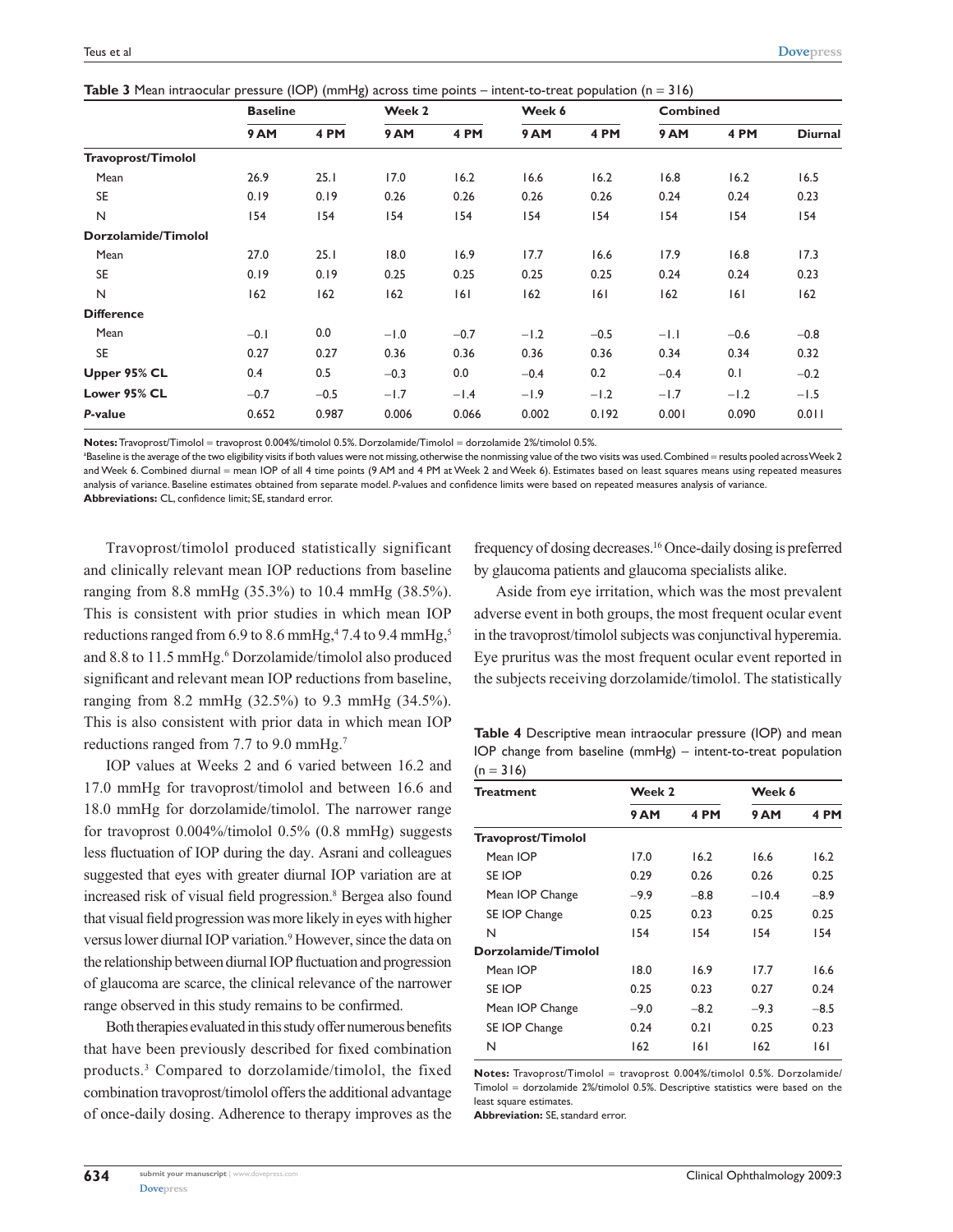| <b>Table 3</b> Mean intraocular pressure (IOP) (mmHg) across time points – intent-to-treat population ( $n = 316$ ) |  |  |  |  |
|---------------------------------------------------------------------------------------------------------------------|--|--|--|--|
|---------------------------------------------------------------------------------------------------------------------|--|--|--|--|

|                     | <b>Baseline</b> |        | Week 2 |        | Week 6 |        | <b>Combined</b> |        |                |
|---------------------|-----------------|--------|--------|--------|--------|--------|-----------------|--------|----------------|
|                     | 9AM             | 4 PM   | 9AM    | 4 PM   | 9AM    | 4 PM   | 9AM             | 4 PM   | <b>Diurnal</b> |
| Travoprost/Timolol  |                 |        |        |        |        |        |                 |        |                |
| Mean                | 26.9            | 25.1   | 17.0   | 16.2   | 16.6   | 16.2   | 16.8            | 16.2   | 16.5           |
| <b>SE</b>           | 0.19            | 0.19   | 0.26   | 0.26   | 0.26   | 0.26   | 0.24            | 0.24   | 0.23           |
| N                   | 154             | 154    | 154    | 154    | 154    | 154    | 154             | 154    | 154            |
| Dorzolamide/Timolol |                 |        |        |        |        |        |                 |        |                |
| Mean                | 27.0            | 25.1   | 18.0   | 16.9   | 17.7   | 16.6   | 17.9            | 16.8   | 17.3           |
| <b>SE</b>           | 0.19            | 0.19   | 0.25   | 0.25   | 0.25   | 0.25   | 0.24            | 0.24   | 0.23           |
| $\mathsf{N}$        | 162             | 162    | 162    | 6      | 162    | 6      | 162             | 6      | 162            |
| <b>Difference</b>   |                 |        |        |        |        |        |                 |        |                |
| Mean                | $-0.1$          | 0.0    | $-1.0$ | $-0.7$ | $-1.2$ | $-0.5$ | $-1.1$          | $-0.6$ | $-0.8$         |
| <b>SE</b>           | 0.27            | 0.27   | 0.36   | 0.36   | 0.36   | 0.36   | 0.34            | 0.34   | 0.32           |
| Upper 95% CL        | 0.4             | 0.5    | $-0.3$ | 0.0    | $-0.4$ | 0.2    | $-0.4$          | 0.1    | $-0.2$         |
| Lower 95% CL        | $-0.7$          | $-0.5$ | $-1.7$ | $-1.4$ | $-1.9$ | $-1.2$ | $-1.7$          | $-1.2$ | $-1.5$         |
| P-value             | 0.652           | 0.987  | 0.006  | 0.066  | 0.002  | 0.192  | 0.001           | 0.090  | 0.011          |

**Notes:** Travoprost/Timolol = travoprost 0.004%/timolol 0.5%. Dorzolamide/Timolol = dorzolamide 2%/timolol 0.5%.

<sup>a</sup>Baseline is the average of the two eligibility visits if both values were not missing, otherwise the nonmissing value of the two visits was used. Combined = results pooled across Week 2 and Week 6. Combined diurnal = mean IOP of all 4 time points (9 AM and 4 PM at Week 2 and Week 6). Estimates based on least squares means using repeated measures analysis of variance. Baseline estimates obtained from separate model. *P*-values and confidence limits were based on repeated measures analysis of variance. **Abbreviations:** CL, confidence limit; SE, standard error.

Travoprost/timolol produced statistically significant and clinically relevant mean IOP reductions from baseline ranging from 8.8 mmHg (35.3%) to 10.4 mmHg (38.5%). This is consistent with prior studies in which mean IOP reductions ranged from  $6.9$  to  $8.6$  mmHg, $47.4$  to  $9.4$  mmHg, $5$ and 8.8 to 11.5 mmHg.<sup>6</sup> Dorzolamide/timolol also produced significant and relevant mean IOP reductions from baseline, ranging from 8.2 mmHg (32.5%) to 9.3 mmHg (34.5%). This is also consistent with prior data in which mean IOP reductions ranged from 7.7 to 9.0 mmHg.<sup>7</sup>

IOP values at Weeks 2 and 6 varied between 16.2 and 17.0 mmHg for travoprost/timolol and between 16.6 and 18.0 mmHg for dorzolamide/timolol. The narrower range for travoprost 0.004%/timolol 0.5% (0.8 mmHg) suggests less fluctuation of IOP during the day. Asrani and colleagues suggested that eyes with greater diurnal IOP variation are at increased risk of visual field progression.<sup>8</sup> Bergea also found that visual field progression was more likely in eyes with higher versus lower diurnal IOP variation.<sup>9</sup> However, since the data on the relationship between diurnal IOP fluctuation and progression of glaucoma are scarce, the clinical relevance of the narrower range observed in this study remains to be confirmed.

Both therapies evaluated in this study offer numerous benefits that have been previously described for fixed combination products.3 Compared to dorzolamide/timolol, the fixed combination travoprost/timolol offers the additional advantage of once-daily dosing. Adherence to therapy improves as the

frequency of dosing decreases.16 Once-daily dosing is preferred by glaucoma patients and glaucoma specialists alike.

Aside from eye irritation, which was the most prevalent adverse event in both groups, the most frequent ocular event in the travoprost/timolol subjects was conjunctival hyperemia. Eye pruritus was the most frequent ocular event reported in the subjects receiving dorzolamide/timolol. The statistically

**Table 4** Descriptive mean intraocular pressure (IOP) and mean IOP change from baseline (mmHg) – intent-to-treat population  $(n = 316)$ 

| Week 6              |
|---------------------|
| 4 PM<br><b>9 AM</b> |
|                     |
| 16.6<br>16.2        |
| 0.26<br>0.25        |
| $-10.4$<br>$-8.9$   |
| 0.25<br>0.25        |
| 154<br>154          |
|                     |
| 17.7<br>16.6        |
| 0.27<br>0.24        |
| $-9.3$<br>$-8.5$    |
| 0.25<br>0.23        |
| 162<br>161          |
|                     |

**Notes:** Travoprost/Timolol = travoprost 0.004%/timolol 0.5%. Dorzolamide/ Timolol = dorzolamide 2%/timolol 0.5%. Descriptive statistics were based on the least square estimates.

**Abbreviation:** SE, standard error.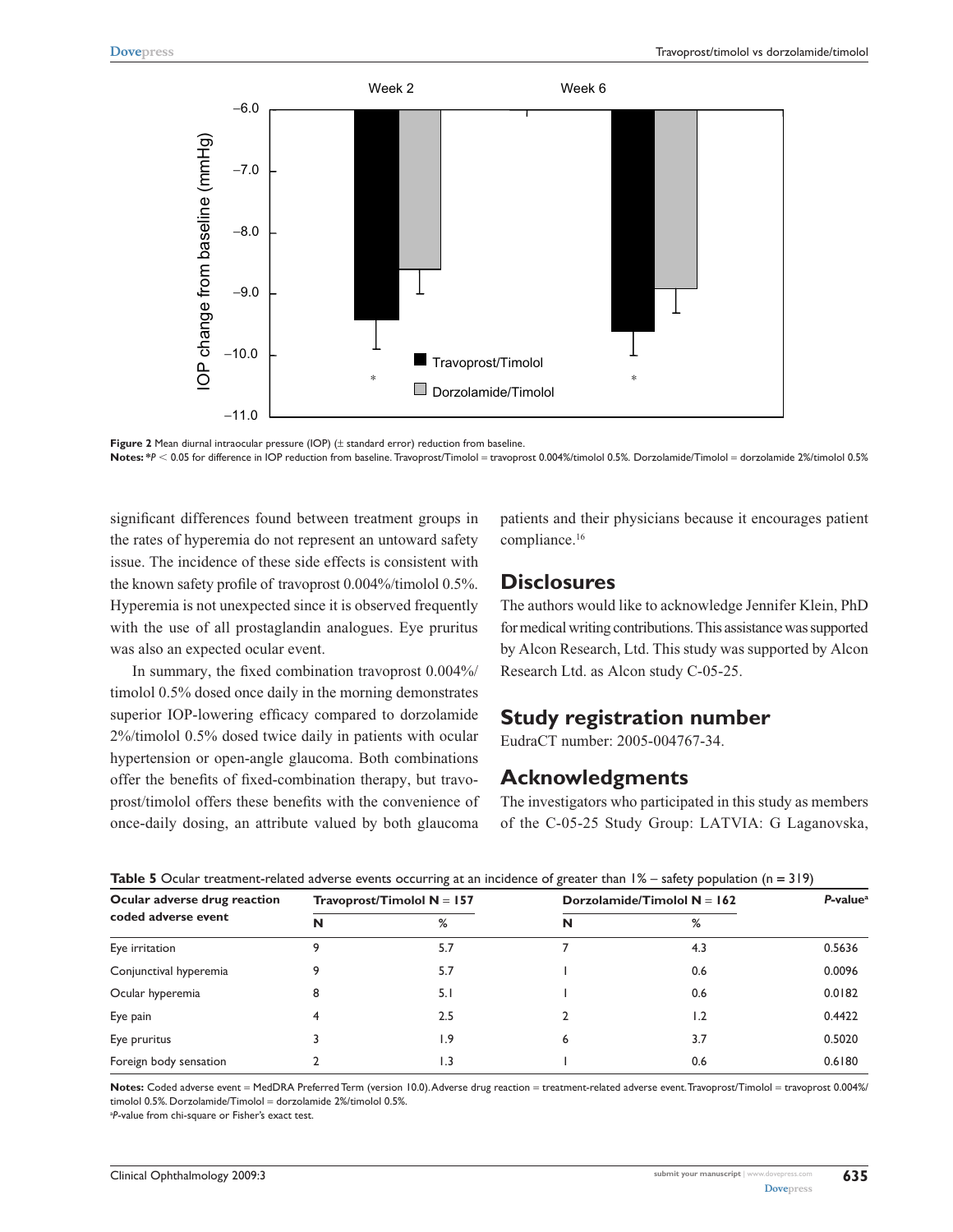



significant differences found between treatment groups in the rates of hyperemia do not represent an untoward safety issue. The incidence of these side effects is consistent with the known safety profile of travoprost 0.004%/timolol 0.5%. Hyperemia is not unexpected since it is observed frequently with the use of all prostaglandin analogues. Eye pruritus was also an expected ocular event.

In summary, the fixed combination travoprost 0.004%/ timolol 0.5% dosed once daily in the morning demonstrates superior IOP-lowering efficacy compared to dorzolamide 2%/timolol 0.5% dosed twice daily in patients with ocular hypertension or open-angle glaucoma. Both combinations offer the benefits of fixed-combination therapy, but travoprost/timolol offers these benefits with the convenience of once-daily dosing, an attribute valued by both glaucoma

patients and their physicians because it encourages patient compliance.16

## **Disclosures**

The authors would like to acknowledge Jennifer Klein, PhD for medical writing contributions. This assistance was supported by Alcon Research, Ltd. This study was supported by Alcon Research Ltd. as Alcon study C-05-25.

# **Study registration number**

EudraCT number: 2005-004767-34.

#### **Acknowledgments**

The investigators who participated in this study as members of the C-05-25 Study Group: LATVIA: G Laganovska,

| Ocular adverse drug reaction<br>coded adverse event |   | Travoprost/Timolol $N = 157$ | Dorzolamide/Timolol $N = 162$ | P-value <sup>a</sup> |        |
|-----------------------------------------------------|---|------------------------------|-------------------------------|----------------------|--------|
|                                                     | N | %                            | N                             | ℅                    |        |
| Eye irritation                                      |   | 5.7                          |                               | 4.3                  | 0.5636 |
| Conjunctival hyperemia                              |   | 5.7                          |                               | 0.6                  | 0.0096 |
| Ocular hyperemia                                    | 8 | 5. I                         |                               | 0.6                  | 0.0182 |
| Eye pain                                            | 4 | 2.5                          |                               | 1.2                  | 0.4422 |
| Eye pruritus                                        |   | 1.9                          | 6                             | 3.7                  | 0.5020 |
| Foreign body sensation                              |   |                              |                               | 0.6                  | 0.6180 |

**Table 5** Ocular treatment-related adverse events occurring at an incidence of greater than 1% – safety population (n **=** 319)

Notes: Coded adverse event = MedDRA Preferred Term (version 10.0). Adverse drug reaction = treatment-related adverse event. Travoprost/Timolol = travoprost 0.004%/ timolol 0.5%. Dorzolamide/Timolol = dorzolamide 2%/timolol 0.5%.

<sup>a</sup>P-value from chi-square or Fisher's exact test.